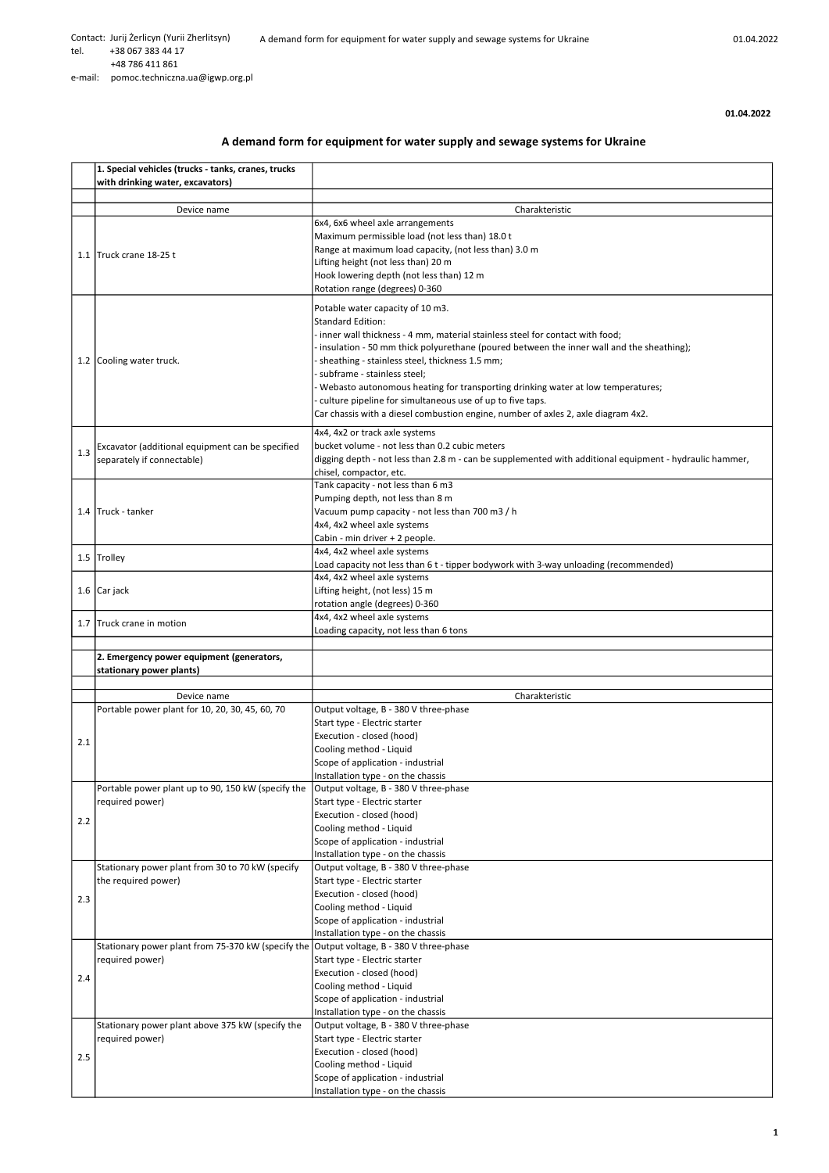01.04.2022

## A demand form for equipment for water supply and sewage systems for Ukraine

|     | 1. Special vehicles (trucks - tanks, cranes, trucks<br>with drinking water, excavators)  |                                                                                                                                                |
|-----|------------------------------------------------------------------------------------------|------------------------------------------------------------------------------------------------------------------------------------------------|
|     |                                                                                          |                                                                                                                                                |
|     | Device name                                                                              | Charakteristic                                                                                                                                 |
|     |                                                                                          | 6x4, 6x6 wheel axle arrangements                                                                                                               |
|     |                                                                                          | Maximum permissible load (not less than) 18.0 t                                                                                                |
|     | 1.1 Truck crane 18-25 t                                                                  | Range at maximum load capacity, (not less than) 3.0 m                                                                                          |
|     |                                                                                          | Lifting height (not less than) 20 m<br>Hook lowering depth (not less than) 12 m                                                                |
|     |                                                                                          | Rotation range (degrees) 0-360                                                                                                                 |
|     |                                                                                          | Potable water capacity of 10 m3.                                                                                                               |
|     |                                                                                          | <b>Standard Edition:</b>                                                                                                                       |
|     |                                                                                          | - inner wall thickness - 4 mm, material stainless steel for contact with food;                                                                 |
|     |                                                                                          | insulation - 50 mm thick polyurethane (poured between the inner wall and the sheathing);                                                       |
|     | 1.2 Cooling water truck.                                                                 | - sheathing - stainless steel, thickness 1.5 mm;                                                                                               |
|     |                                                                                          | subframe - stainless steel;                                                                                                                    |
|     |                                                                                          | Webasto autonomous heating for transporting drinking water at low temperatures;                                                                |
|     |                                                                                          | culture pipeline for simultaneous use of up to five taps.<br>Car chassis with a diesel combustion engine, number of axles 2, axle diagram 4x2. |
|     |                                                                                          |                                                                                                                                                |
|     | Excavator (additional equipment can be specified                                         | 4x4, 4x2 or track axle systems<br>bucket volume - not less than 0.2 cubic meters                                                               |
| 1.3 | separately if connectable)                                                               | digging depth - not less than 2.8 m - can be supplemented with additional equipment - hydraulic hammer,                                        |
|     |                                                                                          | chisel, compactor, etc.                                                                                                                        |
|     |                                                                                          | Tank capacity - not less than 6 m3                                                                                                             |
|     |                                                                                          | Pumping depth, not less than 8 m                                                                                                               |
|     | 1.4 Truck - tanker                                                                       | Vacuum pump capacity - not less than 700 m3 / h<br>4x4, 4x2 wheel axle systems                                                                 |
|     |                                                                                          | Cabin - min driver + 2 people.                                                                                                                 |
|     |                                                                                          | 4x4, 4x2 wheel axle systems                                                                                                                    |
|     | 1.5 Trolley                                                                              | Load capacity not less than 6 t - tipper bodywork with 3-way unloading (recommended)                                                           |
|     |                                                                                          | 4x4, 4x2 wheel axle systems                                                                                                                    |
|     | 1.6 Car jack                                                                             | Lifting height, (not less) 15 m<br>rotation angle (degrees) 0-360                                                                              |
|     |                                                                                          | 4x4, 4x2 wheel axle systems                                                                                                                    |
|     | 1.7 Truck crane in motion                                                                | Loading capacity, not less than 6 tons                                                                                                         |
|     |                                                                                          |                                                                                                                                                |
|     |                                                                                          |                                                                                                                                                |
|     | 2. Emergency power equipment (generators,                                                |                                                                                                                                                |
|     | stationary power plants)                                                                 |                                                                                                                                                |
|     | Device name                                                                              | Charakteristic                                                                                                                                 |
|     | Portable power plant for 10, 20, 30, 45, 60, 70                                          | Output voltage, B - 380 V three-phase                                                                                                          |
|     |                                                                                          | Start type - Electric starter                                                                                                                  |
| 2.1 |                                                                                          | Execution - closed (hood)                                                                                                                      |
|     |                                                                                          | Cooling method - Liquid<br>Scope of application - industrial                                                                                   |
|     |                                                                                          | Installation type - on the chassis                                                                                                             |
|     | Portable power plant up to 90, 150 kW (specify the                                       | Output voltage, B - 380 V three-phase                                                                                                          |
|     | required power)                                                                          | Start type - Electric starter                                                                                                                  |
| 2.2 |                                                                                          | Execution - closed (hood)                                                                                                                      |
|     |                                                                                          | Cooling method - Liquid                                                                                                                        |
|     |                                                                                          | Scope of application - industrial<br>Installation type - on the chassis                                                                        |
|     | Stationary power plant from 30 to 70 kW (specify                                         | Output voltage, B - 380 V three-phase                                                                                                          |
|     | the required power)                                                                      | Start type - Electric starter                                                                                                                  |
| 2.3 |                                                                                          | Execution - closed (hood)                                                                                                                      |
|     |                                                                                          | Cooling method - Liquid                                                                                                                        |
|     |                                                                                          | Scope of application - industrial<br>Installation type - on the chassis                                                                        |
|     | Stationary power plant from 75-370 kW (specify the Output voltage, B - 380 V three-phase |                                                                                                                                                |
|     | required power)                                                                          | Start type - Electric starter                                                                                                                  |
| 2.4 |                                                                                          | Execution - closed (hood)                                                                                                                      |
|     |                                                                                          | Cooling method - Liquid                                                                                                                        |
|     |                                                                                          | Scope of application - industrial                                                                                                              |
|     | Stationary power plant above 375 kW (specify the                                         | Installation type - on the chassis<br>Output voltage, B - 380 V three-phase                                                                    |
|     | required power)                                                                          | Start type - Electric starter                                                                                                                  |
| 2.5 |                                                                                          | Execution - closed (hood)                                                                                                                      |
|     |                                                                                          | Cooling method - Liquid                                                                                                                        |
|     |                                                                                          | Scope of application - industrial<br>Installation type - on the chassis                                                                        |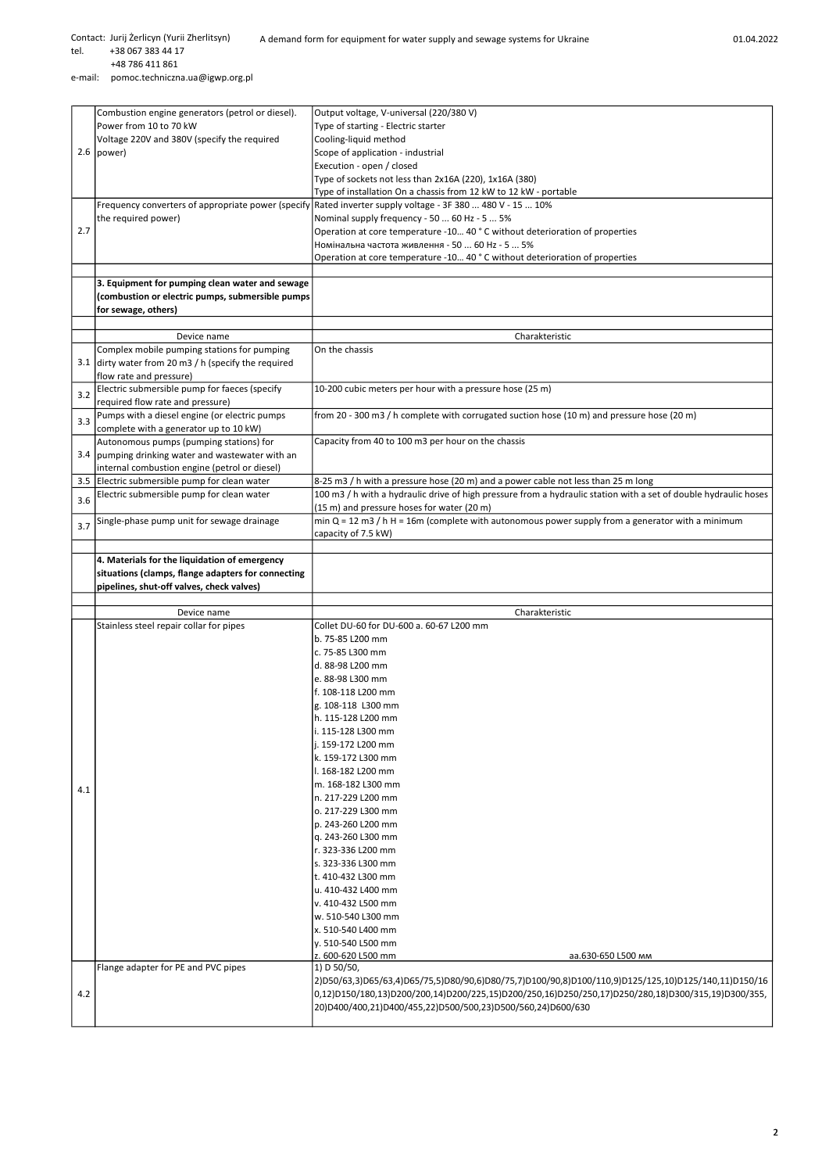Contact: Jurij Żerlicyn (Yurii Zherlitsyn)

A demand form for equipment for water supply and sewage systems for Ukraine 01.04.2022

tel. +38 067 383 44 17

2.7

3.1

3.4

 +48 786 411 861 e-mail: pomoc.techniczna.ua@igwp.org.pl 2.6 power) Combustion engine generators (petrol or diesel). Power from 10 to 70 kW Voltage 220V and 380V (specify the required Output voltage, V-universal (220/380 V) Type of starting - Electric starter Cooling-liquid method Scope of application - industrial Execution - open / closed Type of sockets not less than 2х16А (220), 1х16А (380) Type of installation On a chassis from 12 kW to 12 kW - portable Frequency converters of appropriate power (specify the required power) Rated inverter supply voltage - 3F 380 ... 480 V - 15 ... 10% Nominal supply frequency - 50 ... 60 Hz - 5 ... 5% Operation at core temperature -10… 40 ° C without deterioration of properties Номінальна частота живлення - 50 ... 60 Hz - 5 ... 5% Operation at core temperature -10… 40 ° C without deterioration of properties 3. Equipment for pumping clean water and sewage (combustion or electric pumps, submersible pumps for sewage, others) Device name Charakteristic Complex mobile pumping stations for pumping dirty water from 20 m3 / h (specify the required flow rate and pressure) On the chassis  $3.2$  Electric submersible pump for faeces (specify required flow rate and pressure) 10-200 cubic meters per hour with a pressure hose (25 m) 3.3 Pumps with a diesel engine (or electric pumps complete with a generator up to 10 kW) from 20 - 300 m3 / h complete with corrugated suction hose (10 m) and pressure hose (20 m) Autonomous pumps (pumping stations) for pumping drinking water and wastewater with an internal combustion engine (petrol or diesel)<br>3.5 Electric submersible pump for clean water Capacity from 40 to 100 m3 per hour on the chassis 8-25 m3 / h with a pressure hose (20 m) and a power cable not less than 25 m long  $3.6$  Electric submersible pump for clean water  $\frac{100 \text{ m3}}{h}$  with a hydraulic drive of high pressure from a hydraulic station with a set of double hydraulic hoses (15 m) and pressure hoses for water (20 m) 3.7 Single-phase pump unit for sewage drainage min Q = 12 m3 / h H = 16m (complete with autonomous power supply from a generator with a minimum  $\frac{1}{2}$ capacity of 7.5 kW) 4. Materials for the liquidation of emergency situations (clamps, flange adapters for connecting pipelines, shut-off valves, check valves)

|     | situations (clamps, flange adapters for connecting |                                                                                                     |  |
|-----|----------------------------------------------------|-----------------------------------------------------------------------------------------------------|--|
|     | pipelines, shut-off valves, check valves)          |                                                                                                     |  |
|     |                                                    |                                                                                                     |  |
|     | Device name                                        | Charakteristic                                                                                      |  |
|     | Stainless steel repair collar for pipes            | Collet DU-60 for DU-600 a. 60-67 L200 mm                                                            |  |
|     |                                                    | b. 75-85 L200 mm                                                                                    |  |
|     |                                                    | c. 75-85 L300 mm                                                                                    |  |
|     |                                                    | ld. 88-98 L200 mm                                                                                   |  |
|     |                                                    | e. 88-98 L300 mm                                                                                    |  |
|     |                                                    | f. 108-118 L200 mm                                                                                  |  |
|     |                                                    | g. 108-118 L300 mm                                                                                  |  |
|     |                                                    | h. 115-128 L200 mm                                                                                  |  |
|     |                                                    | i. 115-128 L300 mm                                                                                  |  |
|     |                                                    | i. 159-172 L200 mm                                                                                  |  |
|     |                                                    | k. 159-172 L300 mm                                                                                  |  |
|     |                                                    | I. 168-182 L200 mm                                                                                  |  |
| 4.1 |                                                    | m. 168-182 L300 mm                                                                                  |  |
|     |                                                    | n. 217-229 L200 mm                                                                                  |  |
|     |                                                    | o. 217-229 L300 mm                                                                                  |  |
|     |                                                    | p. 243-260 L200 mm                                                                                  |  |
|     |                                                    | q. 243-260 L300 mm                                                                                  |  |
|     |                                                    | r. 323-336 L200 mm                                                                                  |  |
|     |                                                    | ls. 323-336 L300 mm                                                                                 |  |
|     |                                                    | t. 410-432 L300 mm                                                                                  |  |
|     |                                                    | u. 410-432 L400 mm                                                                                  |  |
|     |                                                    | v. 410-432 L500 mm                                                                                  |  |
|     |                                                    | w. 510-540 L300 mm                                                                                  |  |
|     |                                                    | x. 510-540 L400 mm                                                                                  |  |
|     |                                                    | v. 510-540 L500 mm                                                                                  |  |
|     |                                                    | z. 600-620 L500 mm<br>аа.630-650 L500 мм                                                            |  |
|     | Flange adapter for PE and PVC pipes                | 1) D 50/50,                                                                                         |  |
|     |                                                    | 2)D50/63,3)D65/63,4)D65/75,5)D80/90,6)D80/75,7)D100/90,8)D100/110,9)D125/125,10)D125/140,11)D150/16 |  |
| 4.2 |                                                    | 0,12)D150/180,13)D200/200,14)D200/225,15)D200/250,16)D250/250,17)D250/280,18)D300/315,19)D300/355,  |  |
|     |                                                    | 20)D400/400,21)D400/455,22)D500/500,23)D500/560,24)D600/630                                         |  |
|     |                                                    |                                                                                                     |  |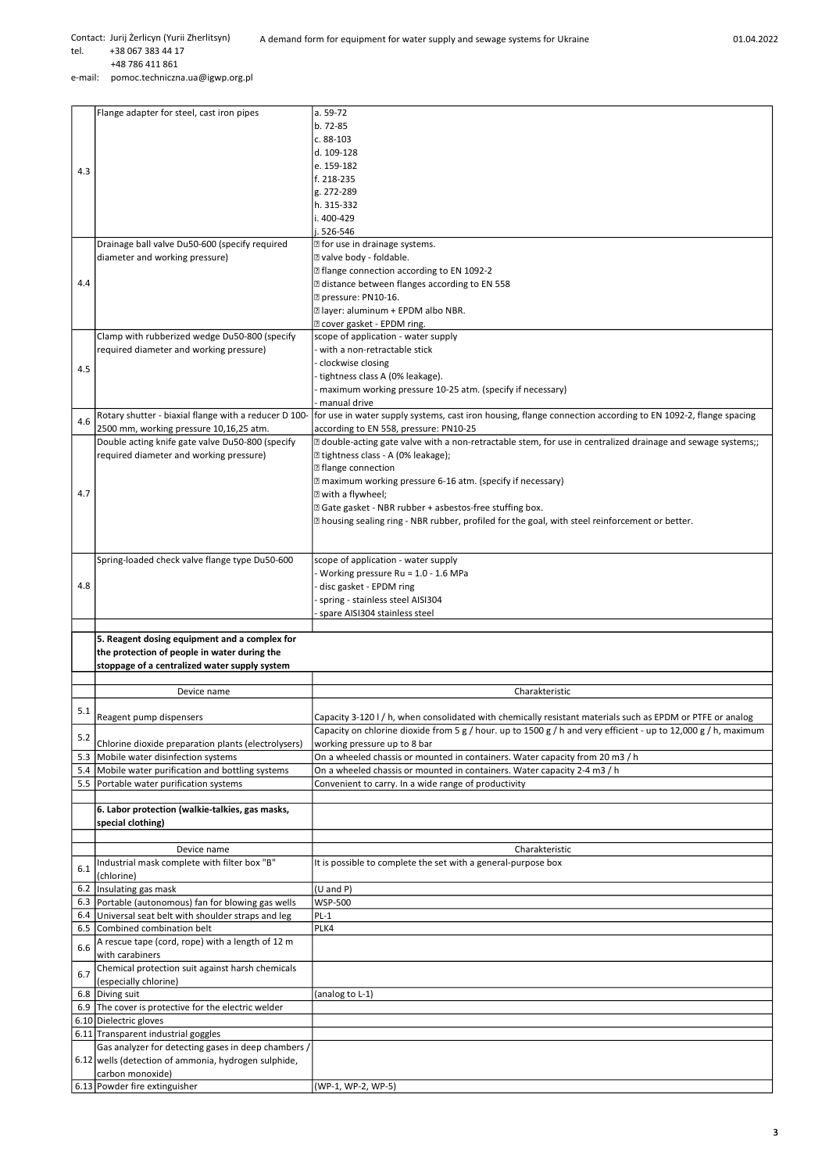+48 786 411 861

e-mail: pomoc.techniczna.ua@igwp.org.pl

|     | Flange adapter for steel, cast iron pipes             | a. 59-72                                                                                                        |
|-----|-------------------------------------------------------|-----------------------------------------------------------------------------------------------------------------|
|     |                                                       | b. 72-85                                                                                                        |
|     |                                                       | $c.88-103$                                                                                                      |
|     |                                                       | d. 109-128                                                                                                      |
|     |                                                       |                                                                                                                 |
| 4.3 |                                                       | e. 159-182                                                                                                      |
|     |                                                       | f. 218-235                                                                                                      |
|     |                                                       | g. 272-289                                                                                                      |
|     |                                                       | h. 315-332                                                                                                      |
|     |                                                       | i. 400-429                                                                                                      |
|     |                                                       | i. 526-546                                                                                                      |
|     |                                                       | <b>Z</b> for use in drainage systems.                                                                           |
|     | Drainage ball valve Du50-600 (specify required        |                                                                                                                 |
|     | diameter and working pressure)                        | Z valve body - foldable.                                                                                        |
|     |                                                       | 2 flange connection according to EN 1092-2                                                                      |
| 4.4 |                                                       | a distance between flanges according to EN 558                                                                  |
|     |                                                       | P pressure: PN10-16.                                                                                            |
|     |                                                       | <b>Z</b> layer: aluminum + EPDM albo NBR.                                                                       |
|     |                                                       | ? cover gasket - EPDM ring.                                                                                     |
|     | Clamp with rubberized wedge Du50-800 (specify         | scope of application - water supply                                                                             |
|     |                                                       |                                                                                                                 |
|     | required diameter and working pressure)               | with a non-retractable stick                                                                                    |
| 4.5 |                                                       | clockwise closing                                                                                               |
|     |                                                       | tightness class A (0% leakage).                                                                                 |
|     |                                                       | maximum working pressure 10-25 atm. (specify if necessary)                                                      |
|     |                                                       | manual drive                                                                                                    |
|     | Rotary shutter - biaxial flange with a reducer D 100- | for use in water supply systems, cast iron housing, flange connection according to EN 1092-2, flange spacing    |
| 4.6 | 2500 mm, working pressure 10,16,25 atm.               | according to EN 558, pressure: PN10-25                                                                          |
|     | Double acting knife gate valve Du50-800 (specify      |                                                                                                                 |
|     |                                                       | [2] double-acting gate valve with a non-retractable stem, for use in centralized drainage and sewage systems;;  |
|     | required diameter and working pressure)               | I tightness class - A (0% leakage);                                                                             |
|     |                                                       | <b>Z</b> flange connection                                                                                      |
|     |                                                       | <b>Ill maximum working pressure 6-16 atm. (specify if necessary)</b>                                            |
| 4.7 |                                                       | I with a flywheel;                                                                                              |
|     |                                                       | 2 Gate gasket - NBR rubber + asbestos-free stuffing box.                                                        |
|     |                                                       | [2] housing sealing ring - NBR rubber, profiled for the goal, with steel reinforcement or better.               |
|     |                                                       |                                                                                                                 |
|     |                                                       |                                                                                                                 |
|     |                                                       |                                                                                                                 |
|     | Spring-loaded check valve flange type Du50-600        | scope of application - water supply                                                                             |
|     |                                                       | Working pressure Ru = 1.0 - 1.6 MPa                                                                             |
| 4.8 |                                                       | disc gasket - EPDM ring                                                                                         |
|     |                                                       | spring - stainless steel AISI304                                                                                |
|     |                                                       | spare AISI304 stainless steel                                                                                   |
|     |                                                       |                                                                                                                 |
|     |                                                       |                                                                                                                 |
|     | 5. Reagent dosing equipment and a complex for         |                                                                                                                 |
|     | the protection of people in water during the          |                                                                                                                 |
|     |                                                       |                                                                                                                 |
|     | stoppage of a centralized water supply system         |                                                                                                                 |
|     |                                                       |                                                                                                                 |
|     | Device name                                           | Charakteristic                                                                                                  |
| 5.1 |                                                       |                                                                                                                 |
|     | Reagent pump dispensers                               | Capacity 3-120 I / h, when consolidated with chemically resistant materials such as EPDM or PTFE or analog      |
| 5.2 |                                                       | Capacity on chlorine dioxide from 5 g / hour. up to 1500 g / h and very efficient - up to 12,000 g / h, maximum |
|     | Chlorine dioxide preparation plants (electrolysers)   | working pressure up to 8 bar                                                                                    |
| 5.3 | Mobile water disinfection systems                     | On a wheeled chassis or mounted in containers. Water capacity from 20 m3 / h                                    |
| 5.4 | Mobile water purification and bottling systems        | On a wheeled chassis or mounted in containers. Water capacity 2-4 m3 / h                                        |
|     | 5.5 Portable water purification systems               | Convenient to carry. In a wide range of productivity                                                            |
|     |                                                       |                                                                                                                 |
|     |                                                       |                                                                                                                 |
|     | 6. Labor protection (walkie-talkies, gas masks,       |                                                                                                                 |
|     | special clothing)                                     |                                                                                                                 |
|     |                                                       |                                                                                                                 |
|     | Device name                                           | Charakteristic                                                                                                  |
| 6.1 | Industrial mask complete with filter box "B"          | It is possible to complete the set with a general-purpose box                                                   |
|     | (chlorine)                                            |                                                                                                                 |
| 6.2 | Insulating gas mask                                   | $(U \text{ and } P)$                                                                                            |
|     | 6.3 Portable (autonomous) fan for blowing gas wells   | WSP-500                                                                                                         |
|     | 6.4 Universal seat belt with shoulder straps and leg  | $PL-1$                                                                                                          |
| 6.5 | Combined combination belt                             | PLK4                                                                                                            |
|     |                                                       |                                                                                                                 |
| 6.6 | A rescue tape (cord, rope) with a length of 12 m      |                                                                                                                 |
|     | with carabiners                                       |                                                                                                                 |
| 6.7 | Chemical protection suit against harsh chemicals      |                                                                                                                 |
|     | (especially chlorine)                                 |                                                                                                                 |
|     | 6.8 Diving suit                                       | (analog to L-1)                                                                                                 |
|     | 6.9 The cover is protective for the electric welder   |                                                                                                                 |
|     | 6.10 Dielectric gloves                                |                                                                                                                 |
|     |                                                       |                                                                                                                 |
|     | 6.11 Transparent industrial goggles                   |                                                                                                                 |
|     | Gas analyzer for detecting gases in deep chambers /   |                                                                                                                 |
|     | 6.12 wells (detection of ammonia, hydrogen sulphide,  |                                                                                                                 |
|     | carbon monoxide)<br>6.13 Powder fire extinguisher     | (WP-1, WP-2, WP-5)                                                                                              |